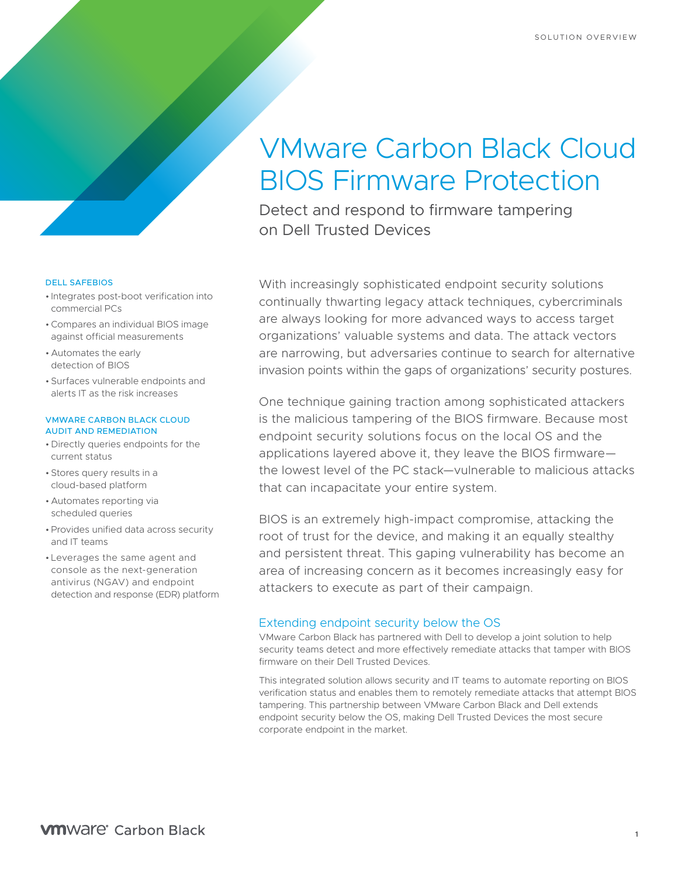# VMware Carbon Black Cloud BIOS Firmware Protection

Detect and respond to firmware tampering on Dell Trusted Devices

DELL SAFEBIOS

- Integrates post-boot verification into commercial PCs
- •Compares an individual BIOS image against official measurements
- Automates the early detection of BIOS
- Surfaces vulnerable endpoints and alerts IT as the risk increases

#### VMWARE CARBON BLACK CLOUD AUDIT AND REMEDIATION

- Directly queries endpoints for the current status
- Stores query results in a cloud-based platform
- Automates reporting via scheduled queries
- Provides unified data across security and IT teams
- Leverages the same agent and console as the next-generation antivirus (NGAV) and endpoint detection and response (EDR) platform

With increasingly sophisticated endpoint security solutions continually thwarting legacy attack techniques, cybercriminals are always looking for more advanced ways to access target organizations' valuable systems and data. The attack vectors are narrowing, but adversaries continue to search for alternative invasion points within the gaps of organizations' security postures.

One technique gaining traction among sophisticated attackers is the malicious tampering of the BIOS firmware. Because most endpoint security solutions focus on the local OS and the applications layered above it, they leave the BIOS firmware the lowest level of the PC stack—vulnerable to malicious attacks that can incapacitate your entire system.

BIOS is an extremely high-impact compromise, attacking the root of trust for the device, and making it an equally stealthy and persistent threat. This gaping vulnerability has become an area of increasing concern as it becomes increasingly easy for attackers to execute as part of their campaign.

## Extending endpoint security below the OS

VMware Carbon Black has partnered with Dell to develop a joint solution to help security teams detect and more effectively remediate attacks that tamper with BIOS firmware on their Dell Trusted Devices.

This integrated solution allows security and IT teams to automate reporting on BIOS verification status and enables them to remotely remediate attacks that attempt BIOS tampering. This partnership between VMware Carbon Black and Dell extends endpoint security below the OS, making Dell Trusted Devices the most secure corporate endpoint in the market.